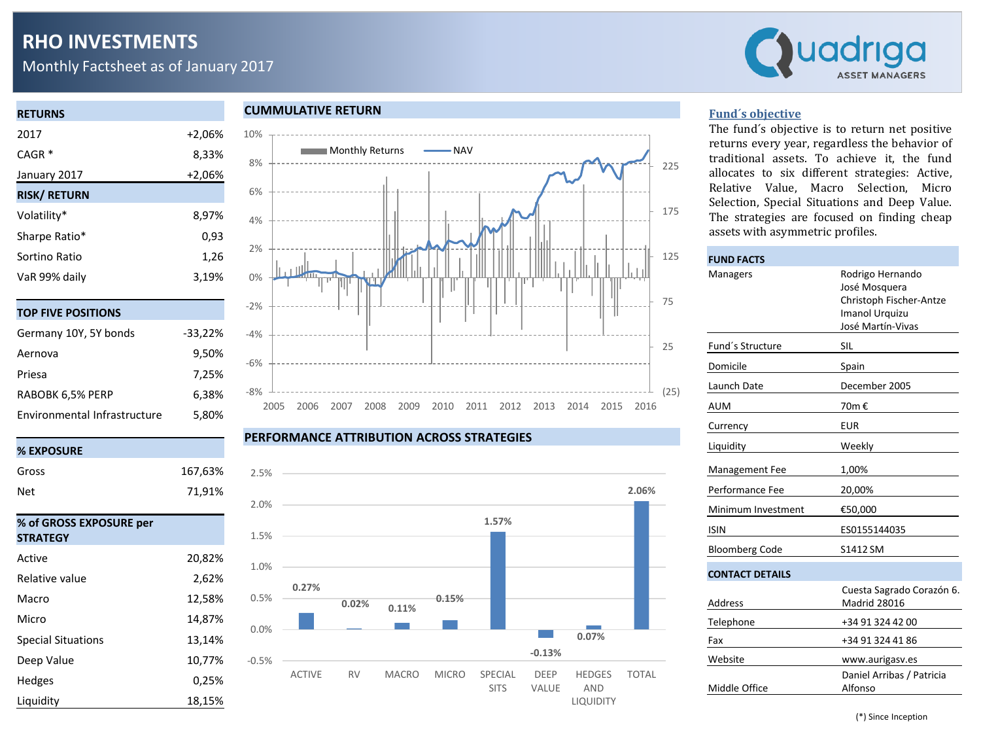# **RHO INVESTMENTS**

Monthly Factsheet as of January 2017



#### **RETURNS** 2017 +2,06%

| CAGR <sup>*</sup>   | 8,33%    |
|---------------------|----------|
| January 2017        | $+2,06%$ |
| <b>RISK/ RETURN</b> |          |
| Volatility*         | 8,97%    |
| Sharpe Ratio*       | 0,93     |
| Sortino Ratio       | 1,26     |
| VaR 99% daily       | 3,19%    |

|  | TOP FIVE POSITIONS |
|--|--------------------|
|  |                    |

| Germany 10Y, 5Y bonds        | $-33,22%$ |
|------------------------------|-----------|
| Aernova                      | 9,50%     |
| Priesa                       | 7,25%     |
| RABOBK 6,5% PERP             | 6,38%     |
| Environmental Infrastructure | 5,80%     |

## **% EXPOSURE**

| Gross                                      | 167,63% |
|--------------------------------------------|---------|
| Net                                        | 71,91%  |
|                                            |         |
| % of GROSS EXPOSURE per<br><b>STRATEGY</b> |         |
| Active                                     | 20,82%  |
| Relative value                             | 2,62%   |
| Macro                                      | 12,58%  |
| Micro                                      | 14,87%  |
| <b>Special Situations</b>                  | 13,14%  |
| Deep Value                                 | 10,77%  |
| <b>Hedges</b>                              | 0,25%   |
| Liquidity                                  | 18,15%  |

### **CUMMULATIVE RETURN**



#### **PERFORMANCE ATTRIBUTION ACROSS STRATEGIES**



#### **Fund´s objective**

The fund´s objective is to return net positive returns every year, regardless the behavior of traditional assets. To achieve it, the fund allocates to six different strategies: Active, Relative Value, Macro Selection, Micro Selection, Special Situations and Deep Value. The strategies are focused on finding cheap assets with asymmetric profiles.

| <b>FUND FACTS</b>      |                                                                                                            |
|------------------------|------------------------------------------------------------------------------------------------------------|
| Managers               | Rodrigo Hernando<br>José Mosquera<br>Christoph Fischer-Antze<br><b>Imanol Urquizu</b><br>José Martín-Vivas |
| Fund's Structure       | SIL                                                                                                        |
| Domicile               | Spain                                                                                                      |
| Launch Date            | December 2005                                                                                              |
| AUM                    | 70m €                                                                                                      |
| Currency               | <b>EUR</b>                                                                                                 |
| Liquidity              | Weekly                                                                                                     |
| Management Fee         | 1,00%                                                                                                      |
| Performance Fee        | 20,00%                                                                                                     |
| Minimum Investment     | €50,000                                                                                                    |
| <b>ISIN</b>            | ES0155144035                                                                                               |
| <b>Bloomberg Code</b>  | S1412 SM                                                                                                   |
| <b>CONTACT DETAILS</b> |                                                                                                            |
| <b>Address</b>         | Cuesta Sagrado Corazón 6.<br><b>Madrid 28016</b>                                                           |
| Telephone              | +34 91 324 42 00                                                                                           |
| Fax                    | +34 91 324 41 86                                                                                           |
| Website                | www.aurigasv.es                                                                                            |
| Middle Office          | Daniel Arribas / Patricia<br>Alfonso                                                                       |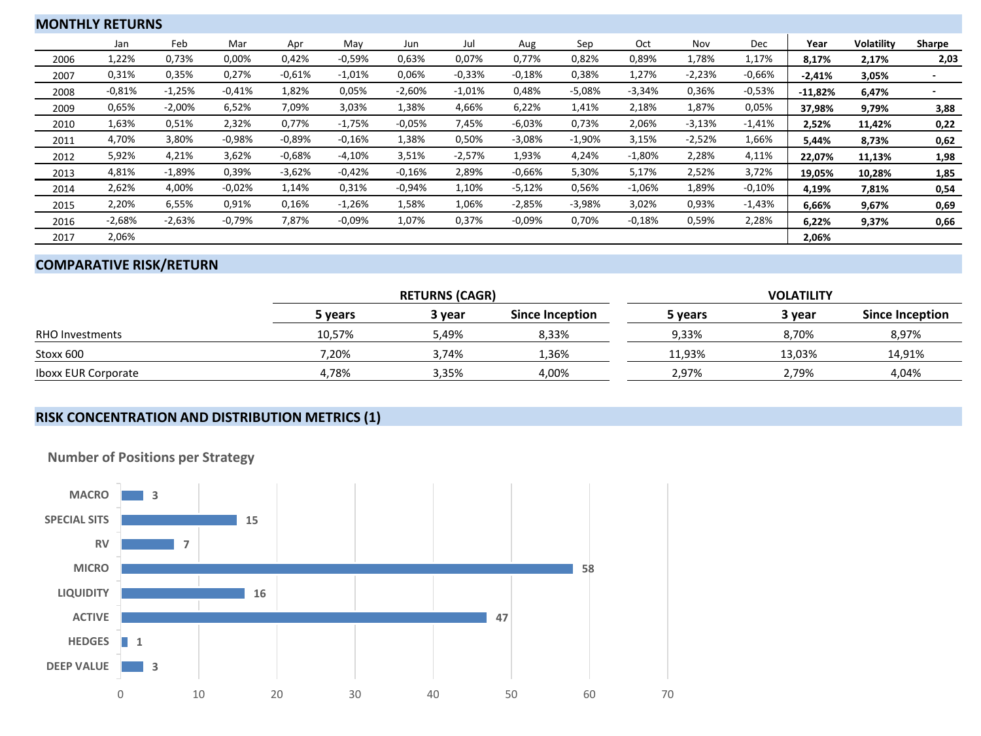|      | <b>MONTHLY RETURNS</b> |          |          |          |          |          |          |          |          |          |          |          |           |                   |        |
|------|------------------------|----------|----------|----------|----------|----------|----------|----------|----------|----------|----------|----------|-----------|-------------------|--------|
|      | Jan                    | Feb      | Mar      | Apr      | May      | Jun      | Jul      | Aug      | Sep      | Oct      | Nov      | Dec      | Year      | <b>Volatility</b> | Sharpe |
| 2006 | 1,22%                  | 0,73%    | 0,00%    | 0,42%    | $-0,59%$ | 0,63%    | 0,07%    | 0,77%    | 0,82%    | 0,89%    | 1,78%    | 1,17%    | 8,17%     | 2,17%             | 2,03   |
| 2007 | 0,31%                  | 0,35%    | 0,27%    | $-0.61%$ | $-1,01%$ | 0,06%    | $-0.33%$ | $-0.18%$ | 0,38%    | 1,27%    | $-2,23%$ | $-0,66%$ | $-2,41%$  | 3,05%             |        |
| 2008 | $-0.81%$               | $-1,25%$ | $-0.41%$ | 1,82%    | 0,05%    | $-2,60%$ | $-1,01%$ | 0,48%    | $-5,08%$ | $-3,34%$ | 0,36%    | $-0,53%$ | $-11,82%$ | 6,47%             | $\sim$ |
| 2009 | 0,65%                  | $-2,00%$ | 6,52%    | 7,09%    | 3,03%    | 1,38%    | 4,66%    | 6,22%    | 1,41%    | 2,18%    | 1,87%    | 0,05%    | 37,98%    | 9,79%             | 3,88   |
| 2010 | 1,63%                  | 0,51%    | 2,32%    | 0,77%    | $-1,75%$ | $-0.05%$ | 7,45%    | $-6,03%$ | 0,73%    | 2,06%    | $-3,13%$ | $-1,41%$ | 2,52%     | 11,42%            | 0,22   |
| 2011 | 4,70%                  | 3,80%    | $-0.98%$ | $-0.89%$ | $-0.16%$ | 1,38%    | 0,50%    | $-3,08%$ | $-1,90%$ | 3,15%    | $-2,52%$ | 1,66%    | 5,44%     | 8,73%             | 0,62   |
| 2012 | 5,92%                  | 4,21%    | 3,62%    | $-0.68%$ | $-4,10%$ | 3,51%    | $-2,57%$ | 1,93%    | 4,24%    | $-1,80%$ | 2,28%    | 4,11%    | 22,07%    | 11,13%            | 1,98   |
| 2013 | 4,81%                  | $-1,89%$ | 0,39%    | $-3,62%$ | $-0.42%$ | $-0.16%$ | 2,89%    | $-0.66%$ | 5,30%    | 5,17%    | 2,52%    | 3,72%    | 19,05%    | 10,28%            | 1,85   |
| 2014 | 2,62%                  | 4,00%    | $-0.02%$ | 1,14%    | 0,31%    | $-0.94%$ | 1,10%    | $-5,12%$ | 0,56%    | $-1,06%$ | 1,89%    | $-0,10%$ | 4,19%     | 7,81%             | 0,54   |
| 2015 | 2,20%                  | 6,55%    | 0,91%    | 0,16%    | $-1,26%$ | 1,58%    | 1,06%    | $-2,85%$ | $-3,98%$ | 3,02%    | 0,93%    | $-1,43%$ | 6,66%     | 9,67%             | 0,69   |
| 2016 | $-2,68%$               | $-2,63%$ | $-0,79%$ | 7,87%    | $-0,09%$ | 1,07%    | 0,37%    | $-0,09%$ | 0,70%    | $-0,18%$ | 0,59%    | 2,28%    | 6,22%     | 9,37%             | 0,66   |
| 2017 | 2,06%                  |          |          |          |          |          |          |          |          |          |          |          | 2,06%     |                   |        |

# **COMPARATIVE RISK/RETURN**

|                            |         | <b>RETURNS (CAGR)</b> |                 | <b>VOLATILITY</b> |        |                        |  |  |
|----------------------------|---------|-----------------------|-----------------|-------------------|--------|------------------------|--|--|
|                            | 5 years | 3 year                | Since Inception | 5 years           | 3 year | <b>Since Inception</b> |  |  |
| <b>RHO Investments</b>     | 10,57%  | 5,49%                 | 8,33%           | 9,33%             | 8,70%  | 8,97%                  |  |  |
| Stoxx 600                  | 7,20%   | 3,74%                 | 1,36%           | 11.93%            | 13,03% | 14,91%                 |  |  |
| <b>Iboxx EUR Corporate</b> | 4.78%   | 3,35%                 | 4,00%           | 2.97%             | 2.79%  | 4,04%                  |  |  |

## **RISK CONCENTRATION AND DISTRIBUTION METRICS (1)**



**Number of Positions per Strategy**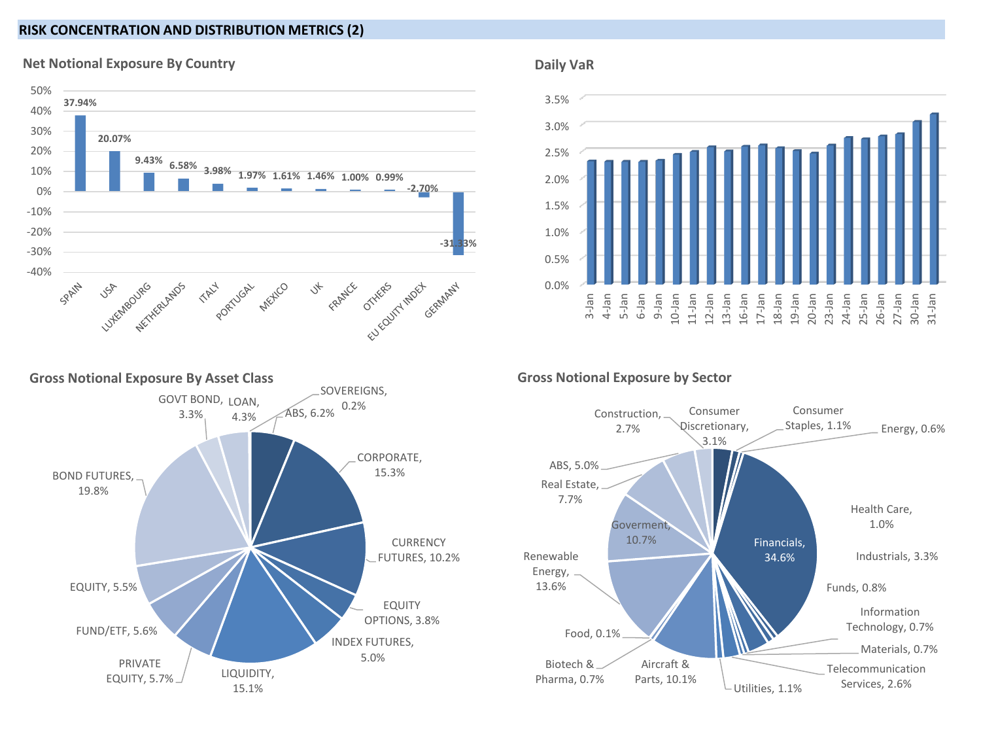## **RISK CONCENTRATION AND DISTRIBUTION METRICS (2)**



#### **Net Notional Exposure By Country**

#### **Daily VaR**





#### **Gross Notional Exposure by Sector**

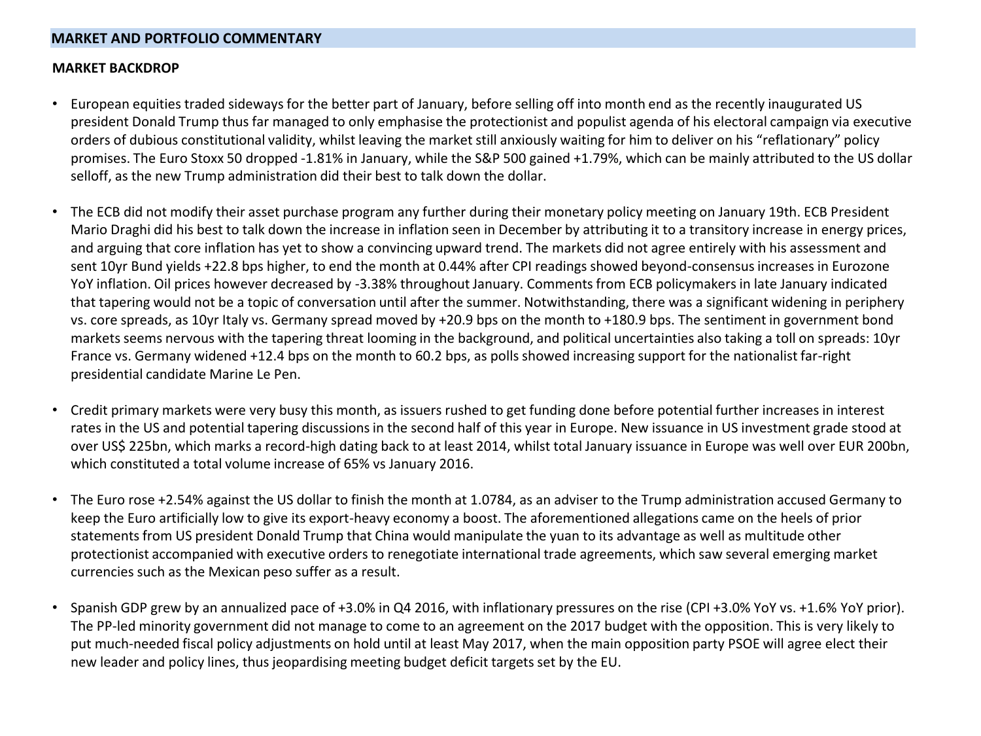### **MARKET AND PORTFOLIO COMMENTARY**

#### **MARKET BACKDROP**

- European equities traded sideways for the better part of January, before selling off into month end as the recently inaugurated US president Donald Trump thus far managed to only emphasise the protectionist and populist agenda of his electoral campaign via executive orders of dubious constitutional validity, whilst leaving the market still anxiously waiting for him to deliver on his "reflationary" policy promises. The Euro Stoxx 50 dropped -1.81% in January, while the S&P 500 gained +1.79%, which can be mainly attributed to the US dollar selloff, as the new Trump administration did their best to talk down the dollar.
- The ECB did not modify their asset purchase program any further during their monetary policy meeting on January 19th. ECB President Mario Draghi did his best to talk down the increase in inflation seen in December by attributing it to a transitory increase in energy prices, and arguing that core inflation has yet to show a convincing upward trend. The markets did not agree entirely with his assessment and sent 10yr Bund yields +22.8 bps higher, to end the month at 0.44% after CPI readings showed beyond-consensus increases in Eurozone YoY inflation. Oil prices however decreased by -3.38% throughout January. Comments from ECB policymakers in late January indicated that tapering would not be a topic of conversation until after the summer. Notwithstanding, there was a significant widening in periphery vs. core spreads, as 10yr Italy vs. Germany spread moved by +20.9 bps on the month to +180.9 bps. The sentiment in government bond markets seems nervous with the tapering threat looming in the background, and political uncertainties also taking a toll on spreads: 10yr France vs. Germany widened +12.4 bps on the month to 60.2 bps, as polls showed increasing support for the nationalist far-right presidential candidate Marine Le Pen.
- Credit primary markets were very busy this month, as issuers rushed to get funding done before potential further increases in interest rates in the US and potential tapering discussions in the second half of this year in Europe. New issuance in US investment grade stood at over US\$ 225bn, which marks a record-high dating back to at least 2014, whilst total January issuance in Europe was well over EUR 200bn, which constituted a total volume increase of 65% vs January 2016.
- The Euro rose +2.54% against the US dollar to finish the month at 1.0784, as an adviser to the Trump administration accused Germany to keep the Euro artificially low to give its export-heavy economy a boost. The aforementioned allegations came on the heels of prior statements from US president Donald Trump that China would manipulate the yuan to its advantage as well as multitude other protectionist accompanied with executive orders to renegotiate international trade agreements, which saw several emerging market currencies such as the Mexican peso suffer as a result.
- Spanish GDP grew by an annualized pace of +3.0% in Q4 2016, with inflationary pressures on the rise (CPI +3.0% YoY vs. +1.6% YoY prior). The PP-led minority government did not manage to come to an agreement on the 2017 budget with the opposition. This is very likely to put much-needed fiscal policy adjustments on hold until at least May 2017, when the main opposition party PSOE will agree elect their new leader and policy lines, thus jeopardising meeting budget deficit targets set by the EU.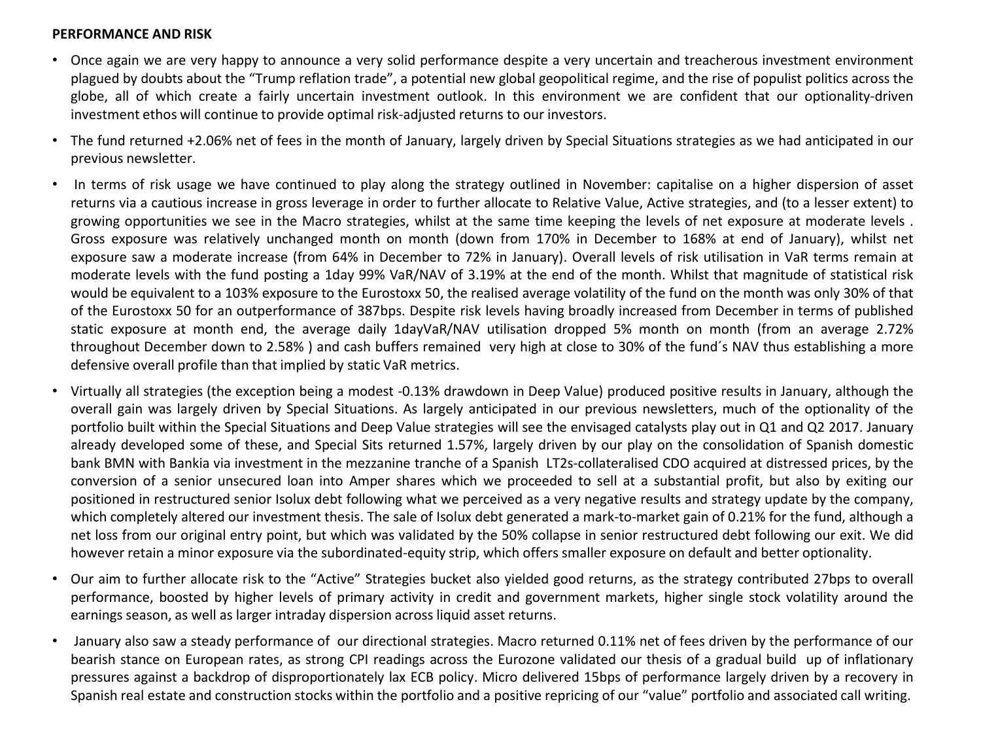#### **PERFORMANCE AND RISK**

- Once again we are very happy to announce a very solid performance despite a very uncertain and treacherous investment environment plagued by doubts about the "Trump reflation trade", a potential new global geopolitical regime, and the rise of populist politics across the globe, all of which create a fairly uncertain investment outlook. In this environment we are confident that our optionality-driven investment ethos will continue to provide optimal risk-adjusted returns to our investors.
- The fund returned +2.06% net of fees in the month of January, largely driven by Special Situations strategies as we had anticipated in our previous newsletter.
- In terms of risk usage we have continued to play along the strategy outlined in November: capitalise on a higher dispersion of asset returns via a cautious increase in gross leverage in order to further allocate to Relative Value, Active strategies, and (to a lesser extent) to growing opportunities we see in the Macro strategies, whilst at the same time keeping the levels of net exposure at moderate levels . Gross exposure was relatively unchanged month on month (down from 170% in December to 168% at end of January), whilst net exposure saw a moderate increase (from 64% in December to 72% in January). Overall levels of risk utilisation in VaR terms remain at moderate levels with the fund posting a 1day 99% VaR/NAV of 3.19% at the end of the month. Whilst that magnitude of statistical risk would be equivalent to a 103% exposure to the Eurostoxx 50, the realised average volatility of the fund on the month was only 30% of that of the Eurostoxx 50 for an outperformance of 387bps. Despite risk levels having broadly increased from December in terms of published static exposure at month end, the average daily 1dayVaR/NAV utilisation dropped 5% month on month (from an average 2.72% throughout December down to 2.58% ) and cash buffers remained very high at close to 30% of the fund´s NAV thus establishing a more defensive overall profile than that implied by static VaR metrics.
- Virtually all strategies (the exception being a modest -0.13% drawdown in Deep Value) produced positive results in January, although the overall gain was largely driven by Special Situations. As largely anticipated in our previous newsletters, much of the optionality of the portfolio built within the Special Situations and Deep Value strategies will see the envisaged catalysts play out in Q1 and Q2 2017. January already developed some of these, and Special Sits returned 1.57%, largely driven by our play on the consolidation of Spanish domestic bank BMN with Bankia via investment in the mezzanine tranche of a Spanish LT2s-collateralised CDO acquired at distressed prices, by the conversion of a senior unsecured loan into Amper shares which we proceeded to sell at a substantial profit, but also by exiting our positioned in restructured senior Isolux debt following what we perceived as a very negative results and strategy update by the company, which completely altered our investment thesis. The sale of Isolux debt generated a mark-to-market gain of 0.21% for the fund, although a net loss from our original entry point, but which was validated by the 50% collapse in senior restructured debt following our exit. We did however retain a minor exposure via the subordinated-equity strip, which offers smaller exposure on default and better optionality.
- Our aim to further allocate risk to the "Active" Strategies bucket also yielded good returns, as the strategy contributed 27bps to overall performance, boosted by higher levels of primary activity in credit and government markets, higher single stock volatility around the earnings season, as well as larger intraday dispersion across liquid asset returns.
- January also saw a steady performance of our directional strategies. Macro returned 0.11% net of fees driven by the performance of our bearish stance on European rates, as strong CPI readings across the Eurozone validated our thesis of a gradual build up of inflationary pressures against a backdrop of disproportionately lax ECB policy. Micro delivered 15bps of performance largely driven by a recovery in Spanish real estate and construction stocks within the portfolio and a positive repricing of our "value" portfolio and associated call writing.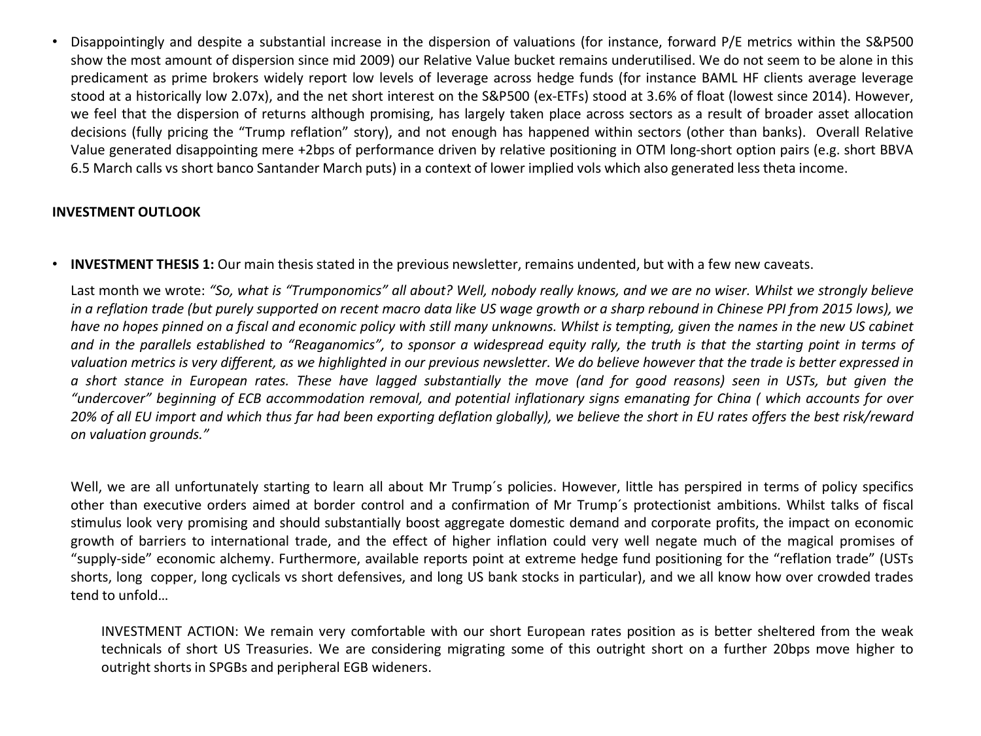• Disappointingly and despite a substantial increase in the dispersion of valuations (for instance, forward P/E metrics within the S&P500 show the most amount of dispersion since mid 2009) our Relative Value bucket remains underutilised. We do not seem to be alone in this predicament as prime brokers widely report low levels of leverage across hedge funds (for instance BAML HF clients average leverage stood at a historically low 2.07x), and the net short interest on the S&P500 (ex-ETFs) stood at 3.6% of float (lowest since 2014). However, we feel that the dispersion of returns although promising, has largely taken place across sectors as a result of broader asset allocation decisions (fully pricing the "Trump reflation" story), and not enough has happened within sectors (other than banks). Overall Relative Value generated disappointing mere +2bps of performance driven by relative positioning in OTM long-short option pairs (e.g. short BBVA 6.5 March calls vs short banco Santander March puts) in a context of lower implied vols which also generated less theta income.

## **INVESTMENT OUTLOOK**

• **INVESTMENT THESIS 1:** Our main thesisstated in the previous newsletter, remains undented, but with a few new caveats.

Last month we wrote: "So, what is "Trumponomics" all about? Well, nobody really knows, and we are no wiser. Whilst we strongly believe in a reflation trade (but purely supported on recent macro data like US wage growth or a sharp rebound in Chinese PPI from 2015 lows), we have no hopes pinned on a fiscal and economic policy with still many unknowns. Whilst is tempting, given the names in the new US cabinet and in the parallels established to "Reaganomics", to sponsor a widespread equity rally, the truth is that the starting point in terms of valuation metrics is very different, as we highlighted in our previous newsletter. We do believe however that the trade is better expressed in a short stance in European rates. These have lagged substantially the move (and for good reasons) seen in USTs, but given the "undercover" beginning of ECB accommodation removal, and potential inflationary signs emanating for China (which accounts for over 20% of all EU import and which thus far had been exporting deflation globally), we believe the short in EU rates offers the best risk/reward *on valuation grounds."*

• Well, we are all unfortunately starting to learn all about Mr Trump´s policies. However, little has perspired in terms of policy specifics other than executive orders aimed at border control and a confirmation of Mr Trump´s protectionist ambitions. Whilst talks of fiscal stimulus look very promising and should substantially boost aggregate domestic demand and corporate profits, the impact on economic growth of barriers to international trade, and the effect of higher inflation could very well negate much of the magical promises of "supply-side" economic alchemy. Furthermore, available reports point at extreme hedge fund positioning for the "reflation trade" (USTs shorts, long copper, long cyclicals vs short defensives, and long US bank stocks in particular), and we all know how over crowded trades tend to unfold…

INVESTMENT ACTION: We remain very comfortable with our short European rates position as is better sheltered from the weak technicals of short US Treasuries. We are considering migrating some of this outright short on a further 20bps move higher to outright shorts in SPGBs and peripheral EGB wideners.